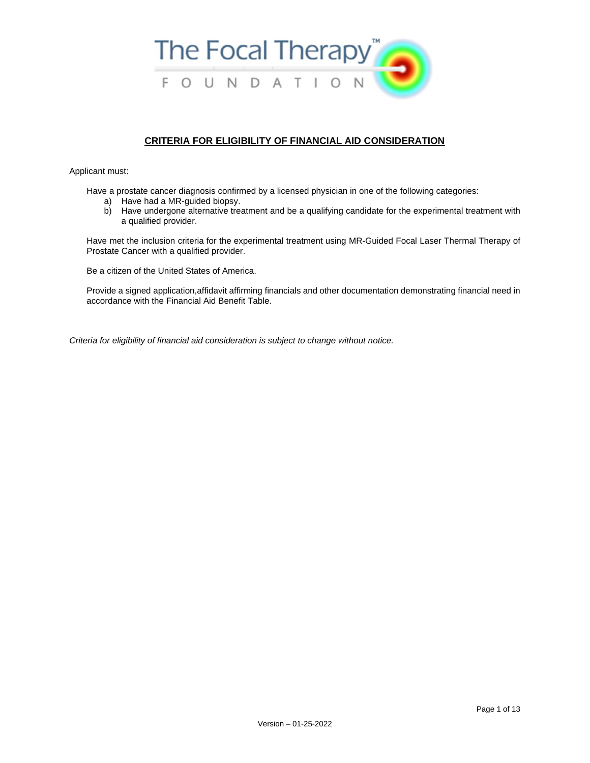

# **CRITERIA FOR ELIGIBILITY OF FINANCIAL AID CONSIDERATION**

Applicant must:

Have a prostate cancer diagnosis confirmed by a licensed physician in one of the following categories:

- a) Have had a MR-guided biopsy.
- b) Have undergone alternative treatment and be a qualifying candidate for the experimental treatment with a qualified provider.

Have met the inclusion criteria for the experimental treatment using MR-Guided Focal Laser Thermal Therapy of Prostate Cancer with a qualified provider.

Be a citizen of the United States of America.

Provide a signed application,affidavit affirming financials and other documentation demonstrating financial need in accordance with the Financial Aid Benefit Table.

*Criteria for eligibility of financial aid consideration is subject to change without notice.*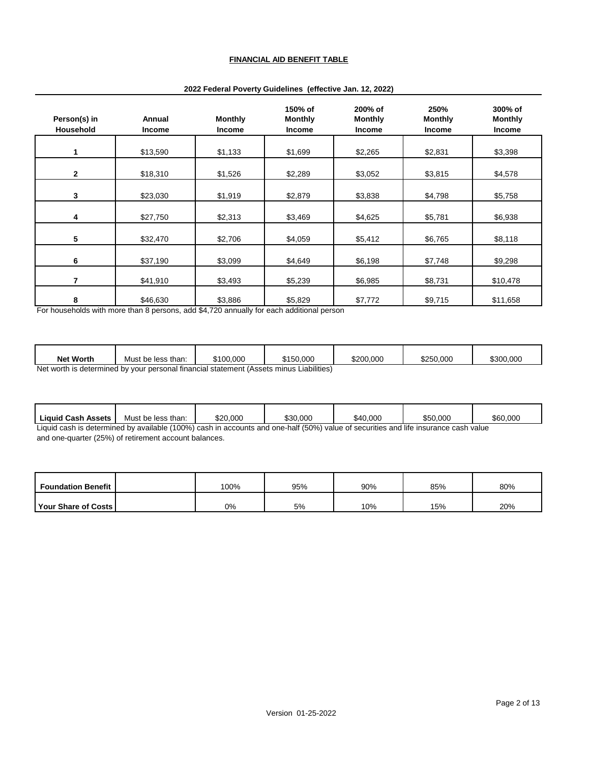## **FINANCIAL AID BENEFIT TABLE**

| Person(s) in<br>Household | Annual<br><b>Income</b> | <b>Monthly</b><br><b>Income</b> | 150% of<br><b>Monthly</b><br>Income | 200% of<br><b>Monthly</b><br><b>Income</b> | 250%<br><b>Monthly</b><br><b>Income</b> | 300% of<br><b>Monthly</b><br><b>Income</b> |
|---------------------------|-------------------------|---------------------------------|-------------------------------------|--------------------------------------------|-----------------------------------------|--------------------------------------------|
| 1                         | \$13,590                | \$1,133                         | \$1,699                             | \$2,265                                    | \$2,831                                 | \$3,398                                    |
| $\mathbf{2}$              | \$18,310                | \$1,526                         | \$2,289                             | \$3,052                                    | \$3,815                                 | \$4,578                                    |
| 3                         | \$23,030                | \$1,919                         | \$2,879                             | \$3,838                                    | \$4,798                                 | \$5,758                                    |
| 4                         | \$27,750                | \$2,313                         | \$3,469                             | \$4,625                                    | \$5,781                                 | \$6,938                                    |
| $5\phantom{.0}$           | \$32,470                | \$2,706                         | \$4,059                             | \$5,412                                    | \$6,765                                 | \$8,118                                    |
| 6                         | \$37,190                | \$3,099                         | \$4,649                             | \$6,198                                    | \$7,748                                 | \$9,298                                    |
| 7                         | \$41,910                | \$3,493                         | \$5,239                             | \$6,985                                    | \$8,731                                 | \$10,478                                   |
| 8                         | \$46,630                | \$3,886                         | \$5,829                             | \$7,772                                    | \$9,715                                 | \$11,658                                   |

#### **2022 Federal Poverty Guidelines (effective Jan. 12, 2022)**

For households with more than 8 persons, add \$4,720 annually for each additional person

| <b>Net Worth</b>                                                                                           | Must be less than: | \$100.000 | \$150.000 | \$200.000 | \$250,000 | \$300,000 |  |
|------------------------------------------------------------------------------------------------------------|--------------------|-----------|-----------|-----------|-----------|-----------|--|
| $\mathsf{link}(\mathsf{in})$<br>Net worth in determined buyour personal financial statement (Assets minual |                    |           |           |           |           |           |  |

Net worth is determined by your personal financial statement (Assets minus Liabilities)

| Liquid Cash Assets                                                                                                                      | Must be less than: | \$20.000 | \$30.000 | \$40.000 | \$50.000 | \$60.000 |
|-----------------------------------------------------------------------------------------------------------------------------------------|--------------------|----------|----------|----------|----------|----------|
| il bould a actual contract los anglicities (4000) and by accounts and any left (E00) solve of accounts a and life becomes a capital and |                    |          |          |          |          |          |

Liquid cash is determined by available (100%) cash in accounts and one-half (50%) value of securities and life insurance cash value and one-quarter (25%) of retirement account balances.

| <b>Foundation Benefit</b>    | $00\%$ | 95% | 90% | 85% | 80% |
|------------------------------|--------|-----|-----|-----|-----|
| <b>Your Share of Costs I</b> | 0%     | 5%  | 10% | 15% | 20% |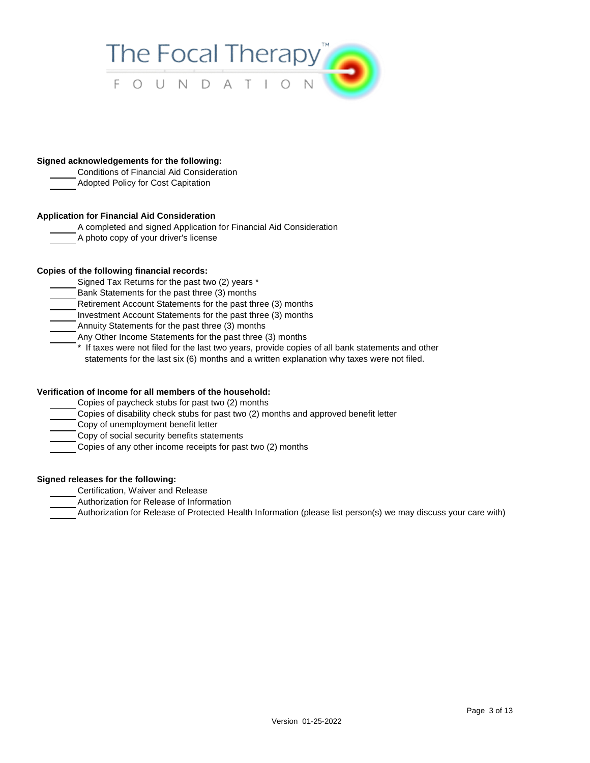

#### **Signed acknowledgements for the following:**

- Conditions of Financial Aid Consideration
- Adopted Policy for Cost Capitation

## **Application for Financial Aid Consideration**

- A completed and signed Application for Financial Aid Consideration
- A photo copy of your driver's license

## **Copies of the following financial records:**

- Signed Tax Returns for the past two (2) years \*
- Bank Statements for the past three (3) months
- Retirement Account Statements for the past three (3) months
- Investment Account Statements for the past three (3) months
- Annuity Statements for the past three (3) months
- Any Other Income Statements for the past three (3) months
	- \* If taxes were not filed for the last two years, provide copies of all bank statements and other statements for the last six (6) months and a written explanation why taxes were not filed.

### **Verification of Income for all members of the household:**

- Copies of paycheck stubs for past two (2) months
- Copies of disability check stubs for past two (2) months and approved benefit letter
- Copy of unemployment benefit letter
- Copy of social security benefits statements
- Copies of any other income receipts for past two (2) months

### **Signed releases for the following:**

- Certification, Waiver and Release
- Authorization for Release of Information
- Authorization for Release of Protected Health Information (please list person(s) we may discuss your care with)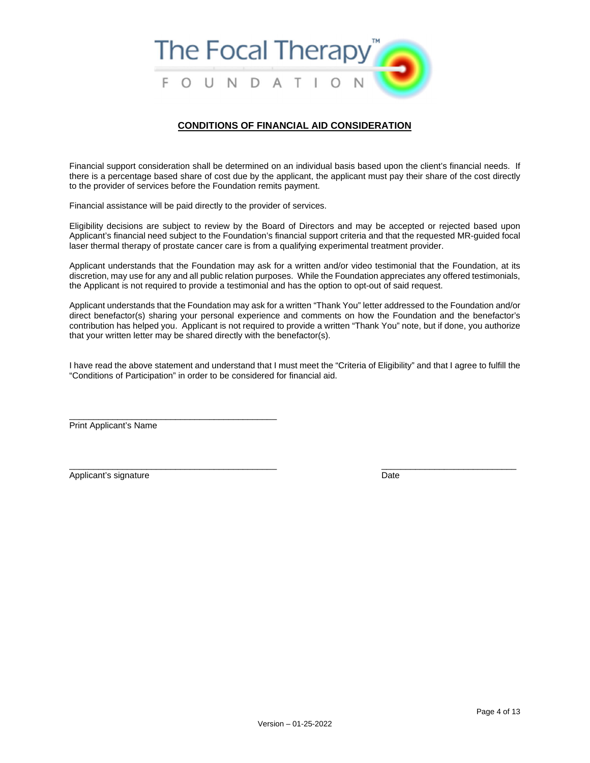

### **CONDITIONS OF FINANCIAL AID CONSIDERATION**

Financial support consideration shall be determined on an individual basis based upon the client's financial needs. If there is a percentage based share of cost due by the applicant, the applicant must pay their share of the cost directly to the provider of services before the Foundation remits payment.

Financial assistance will be paid directly to the provider of services.

Eligibility decisions are subject to review by the Board of Directors and may be accepted or rejected based upon Applicant's financial need subject to the Foundation's financial support criteria and that the requested MR-guided focal laser thermal therapy of prostate cancer care is from a qualifying experimental treatment provider.

Applicant understands that the Foundation may ask for a written and/or video testimonial that the Foundation, at its discretion, may use for any and all public relation purposes. While the Foundation appreciates any offered testimonials, the Applicant is not required to provide a testimonial and has the option to opt-out of said request.

Applicant understands that the Foundation may ask for a written "Thank You" letter addressed to the Foundation and/or direct benefactor(s) sharing your personal experience and comments on how the Foundation and the benefactor's contribution has helped you. Applicant is not required to provide a written "Thank You" note, but if done, you authorize that your written letter may be shared directly with the benefactor(s).

I have read the above statement and understand that I must meet the "Criteria of Eligibility" and that I agree to fulfill the "Conditions of Participation" in order to be considered for financial aid.

 $\overline{\phantom{a}}$  , and the contribution of the contribution of the contribution of the contribution of the contribution of the contribution of the contribution of the contribution of the contribution of the contribution of the

Print Applicant's Name

\_\_\_\_\_\_\_\_\_\_\_\_\_\_\_\_\_\_\_\_\_\_\_\_\_\_\_\_\_\_\_\_\_\_\_\_\_\_\_\_\_\_\_

Applicant's signature Date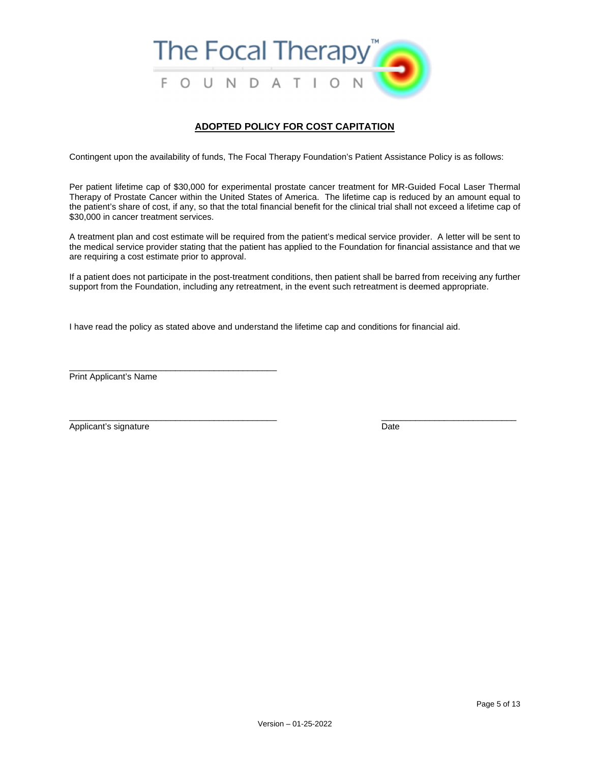

# **ADOPTED POLICY FOR COST CAPITATION**

Contingent upon the availability of funds, The Focal Therapy Foundation's Patient Assistance Policy is as follows:

Per patient lifetime cap of \$30,000 for experimental prostate cancer treatment for MR-Guided Focal Laser Thermal Therapy of Prostate Cancer within the United States of America. The lifetime cap is reduced by an amount equal to the patient's share of cost, if any, so that the total financial benefit for the clinical trial shall not exceed a lifetime cap of \$30,000 in cancer treatment services.

A treatment plan and cost estimate will be required from the patient's medical service provider. A letter will be sent to the medical service provider stating that the patient has applied to the Foundation for financial assistance and that we are requiring a cost estimate prior to approval.

If a patient does not participate in the post-treatment conditions, then patient shall be barred from receiving any further support from the Foundation, including any retreatment, in the event such retreatment is deemed appropriate.

I have read the policy as stated above and understand the lifetime cap and conditions for financial aid.

Print Applicant's Name

\_\_\_\_\_\_\_\_\_\_\_\_\_\_\_\_\_\_\_\_\_\_\_\_\_\_\_\_\_\_\_\_\_\_\_\_\_\_\_\_\_\_\_

 $\overline{\phantom{a}}$  , and the contribution of the contribution of the contribution of the contribution of the contribution of the contribution of the contribution of the contribution of the contribution of the contribution of the Applicant's signature Date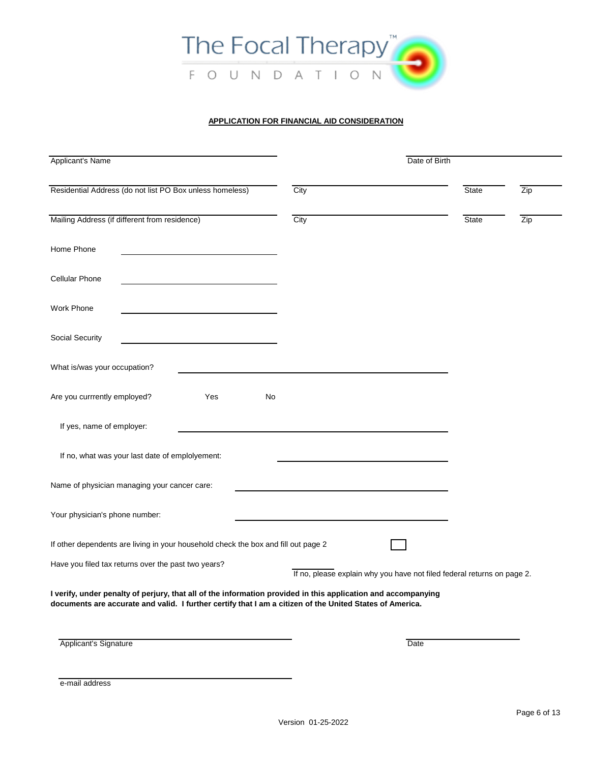

# **APPLICATION FOR FINANCIAL AID CONSIDERATION**

| Applicant's Name                                                                                                                                                                                                          | Date of Birth                                                           |      |              |     |  |
|---------------------------------------------------------------------------------------------------------------------------------------------------------------------------------------------------------------------------|-------------------------------------------------------------------------|------|--------------|-----|--|
| Residential Address (do not list PO Box unless homeless)                                                                                                                                                                  | City                                                                    |      | State        | Zip |  |
| Mailing Address (if different from residence)                                                                                                                                                                             | City                                                                    |      | <b>State</b> | Zip |  |
| Home Phone                                                                                                                                                                                                                |                                                                         |      |              |     |  |
| <b>Cellular Phone</b>                                                                                                                                                                                                     |                                                                         |      |              |     |  |
| <b>Work Phone</b>                                                                                                                                                                                                         |                                                                         |      |              |     |  |
| Social Security                                                                                                                                                                                                           |                                                                         |      |              |     |  |
| What is/was your occupation?                                                                                                                                                                                              |                                                                         |      |              |     |  |
| Are you currrently employed?<br>Yes<br>No                                                                                                                                                                                 |                                                                         |      |              |     |  |
| If yes, name of employer:                                                                                                                                                                                                 |                                                                         |      |              |     |  |
| If no, what was your last date of emplolyement:                                                                                                                                                                           |                                                                         |      |              |     |  |
| Name of physician managing your cancer care:                                                                                                                                                                              |                                                                         |      |              |     |  |
| Your physician's phone number:                                                                                                                                                                                            |                                                                         |      |              |     |  |
| If other dependents are living in your household check the box and fill out page 2                                                                                                                                        |                                                                         |      |              |     |  |
| Have you filed tax returns over the past two years?                                                                                                                                                                       | If no, please explain why you have not filed federal returns on page 2. |      |              |     |  |
| I verify, under penalty of perjury, that all of the information provided in this application and accompanying<br>documents are accurate and valid. I further certify that I am a citizen of the United States of America. |                                                                         |      |              |     |  |
|                                                                                                                                                                                                                           |                                                                         |      |              |     |  |
| Applicant's Signature                                                                                                                                                                                                     |                                                                         | Date |              |     |  |

e-mail address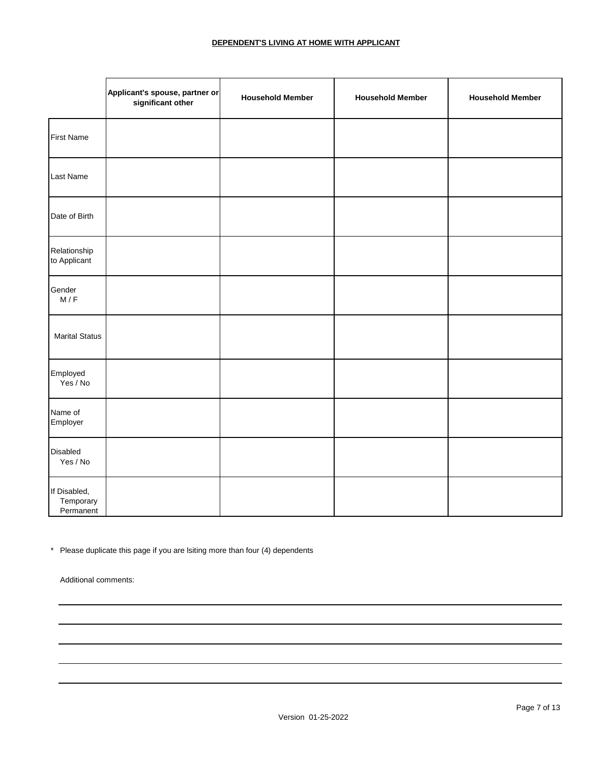# **DEPENDENT'S LIVING AT HOME WITH APPLICANT**

|                                        | Applicant's spouse, partner or<br>significant other | <b>Household Member</b> | <b>Household Member</b> | <b>Household Member</b> |
|----------------------------------------|-----------------------------------------------------|-------------------------|-------------------------|-------------------------|
| <b>First Name</b>                      |                                                     |                         |                         |                         |
| Last Name                              |                                                     |                         |                         |                         |
| Date of Birth                          |                                                     |                         |                         |                         |
| Relationship<br>to Applicant           |                                                     |                         |                         |                         |
| Gender<br>M/F                          |                                                     |                         |                         |                         |
| <b>Marital Status</b>                  |                                                     |                         |                         |                         |
| Employed<br>Yes / No                   |                                                     |                         |                         |                         |
| Name of<br>Employer                    |                                                     |                         |                         |                         |
| Disabled<br>Yes / No                   |                                                     |                         |                         |                         |
| If Disabled,<br>Temporary<br>Permanent |                                                     |                         |                         |                         |

\* Please duplicate this page if you are lsiting more than four (4) dependents

Additional comments: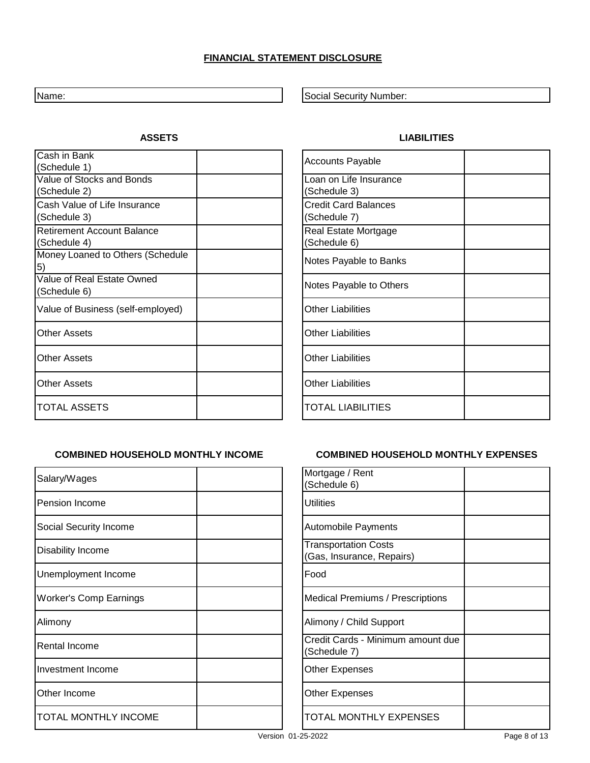# **FINANCIAL STATEMENT DISCLOSURE**

Cash in Bank (Schedule 1)

(Schedule 2)

(Schedule 3)

(Schedule 4)

5)

Value of Stocks and Bonds

Cash Value of Life Insurance

Retirement Account Balance

Value of Real Estate Owned

Name: Social Security Number: Social Security Number:

# **ASSETS LIABILITIES**

| <b>Accounts Payable</b>                     |
|---------------------------------------------|
| Loan on Life Insurance<br>(Schedule 3)      |
| <b>Credit Card Balances</b><br>(Schedule 7) |
| Real Estate Mortgage<br>(Schedule 6)        |
| Notes Payable to Banks                      |
| Notes Payable to Others                     |
| <b>Other Liabilities</b>                    |
| <b>Other Liabilities</b>                    |
| <b>Other Liabilities</b>                    |
| <b>Other Liabilities</b>                    |
| <b>TOTAL LIABILITIES</b>                    |

Value of Business (self-employed)

Money Loaned to Others (Schedule

Other Assets

**Other Assets** 

**Other Assets** 

TOTAL ASSETS

(Schedule 6)

| Salary/Wages                  | Mortgage / Rent<br>(Schedule 6)                          |
|-------------------------------|----------------------------------------------------------|
| Pension Income                | <b>Utilities</b>                                         |
| Social Security Income        | <b>Automobile Payments</b>                               |
| Disability Income             | <b>Transportation Costs</b><br>(Gas, Insurance, Repairs) |
| Unemployment Income           | Food                                                     |
| <b>Worker's Comp Earnings</b> | <b>Medical Premiums / Prescriptions</b>                  |
| Alimony                       | Alimony / Child Support                                  |
| Rental Income                 | Credit Cards - Minimum amount due<br>(Schedule 7)        |
| Investment Income             | Other Expenses                                           |
| Other Income                  | Other Expenses                                           |
| <b>TOTAL MONTHLY INCOME</b>   | TOTAL MONTHLY EXPENSES                                   |
|                               |                                                          |

# **COMBINED HOUSEHOLD MONTHLY INCOME COMBINED HOUSEHOLD MONTHLY EXPENSES**

| Mortgage / Rent                                   |  |
|---------------------------------------------------|--|
| (Schedule 6)                                      |  |
| <b>Utilities</b>                                  |  |
| <b>Automobile Payments</b>                        |  |
| <b>Transportation Costs</b>                       |  |
| (Gas, Insurance, Repairs)                         |  |
| Food                                              |  |
| <b>Medical Premiums / Prescriptions</b>           |  |
| Alimony / Child Support                           |  |
| Credit Cards - Minimum amount due<br>(Schedule 7) |  |
| <b>Other Expenses</b>                             |  |
| Other Expenses                                    |  |
| TOTAL MONTHLY EXPENSES                            |  |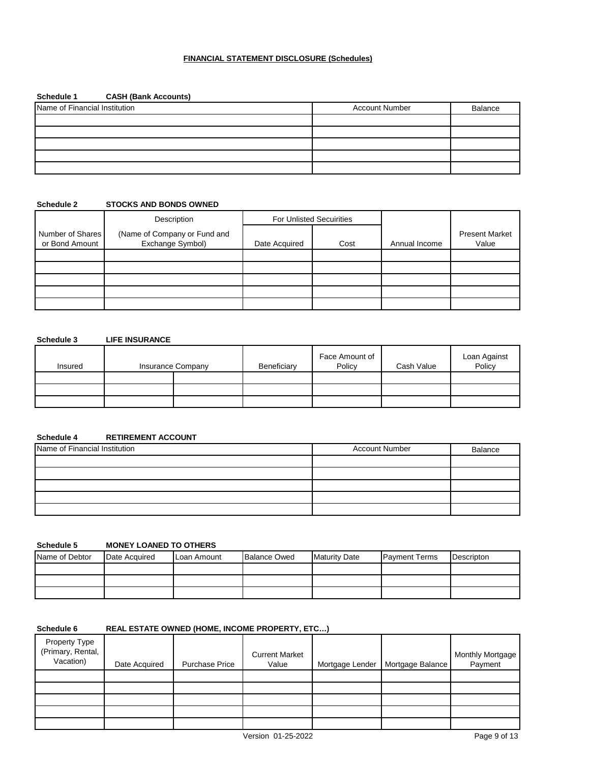## **FINANCIAL STATEMENT DISCLOSURE (Schedules)**

# **Schedule 1 CASH (Bank Accounts)**

| Name of Financial Institution | <b>Account Number</b> | Balance |
|-------------------------------|-----------------------|---------|
|                               |                       |         |
|                               |                       |         |
|                               |                       |         |
|                               |                       |         |
|                               |                       |         |

### **Schedule 2 STOCKS AND BONDS OWNED**

|                                    | Description                                      |               | For Unlisted Secuirities |               |                                |
|------------------------------------|--------------------------------------------------|---------------|--------------------------|---------------|--------------------------------|
| Number of Shares<br>or Bond Amount | (Name of Company or Fund and<br>Exchange Symbol) | Date Acquired | Cost                     | Annual Income | <b>Present Market</b><br>Value |
|                                    |                                                  |               |                          |               |                                |
|                                    |                                                  |               |                          |               |                                |
|                                    |                                                  |               |                          |               |                                |
|                                    |                                                  |               |                          |               |                                |
|                                    |                                                  |               |                          |               |                                |

# **Schedule 3 LIFE INSURANCE**

| Insured | <b>Insurance Company</b> | Beneficiary | Face Amount of<br>Policy | Cash Value | Loan Against<br>Policy |
|---------|--------------------------|-------------|--------------------------|------------|------------------------|
|         |                          |             |                          |            |                        |
|         |                          |             |                          |            |                        |
|         |                          |             |                          |            |                        |

# **Schedule 4 RETIREMENT ACCOUNT**

| Name of Financial Institution | <b>Account Number</b> | Balance |
|-------------------------------|-----------------------|---------|
|                               |                       |         |
|                               |                       |         |
|                               |                       |         |
|                               |                       |         |
|                               |                       |         |

## **Schedule 5 MONEY LOANED TO OTHERS**

| Name of Debtor | Date Acquired | Loan Amount | <b>Balance Owed</b> | <b>Maturity Date</b> | <b>Payment Terms</b> | Descripton |
|----------------|---------------|-------------|---------------------|----------------------|----------------------|------------|
|                |               |             |                     |                      |                      |            |
|                |               |             |                     |                      |                      |            |
|                |               |             |                     |                      |                      |            |

# **Schedule 6 REAL ESTATE OWNED (HOME, INCOME PROPERTY, ETC…)**

| Property Type<br>(Primary, Rental,<br>Vacation) | Date Acquired | <b>Purchase Price</b> | <b>Current Market</b><br>Value | Mortgage Lender   Mortgage Balance | Monthly Mortgage<br>Payment |
|-------------------------------------------------|---------------|-----------------------|--------------------------------|------------------------------------|-----------------------------|
|                                                 |               |                       |                                |                                    |                             |
|                                                 |               |                       |                                |                                    |                             |
|                                                 |               |                       |                                |                                    |                             |
|                                                 |               |                       |                                |                                    |                             |
|                                                 |               |                       |                                |                                    |                             |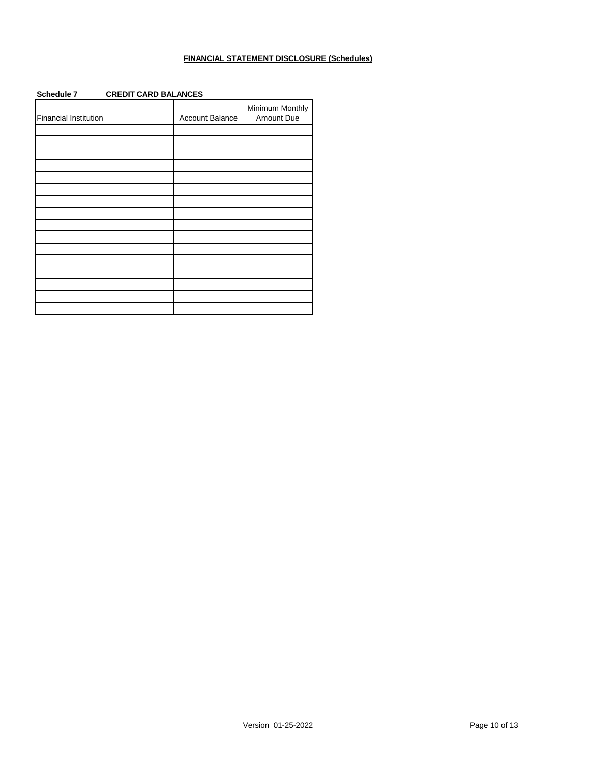# **FINANCIAL STATEMENT DISCLOSURE (Schedules)**

| Schedule 7<br><b>CREDIT CARD BALANCES</b> |                 |                               |  |  |
|-------------------------------------------|-----------------|-------------------------------|--|--|
| Financial Institution                     | Account Balance | Minimum Monthly<br>Amount Due |  |  |
|                                           |                 |                               |  |  |
|                                           |                 |                               |  |  |
|                                           |                 |                               |  |  |
|                                           |                 |                               |  |  |
|                                           |                 |                               |  |  |
|                                           |                 |                               |  |  |
|                                           |                 |                               |  |  |
|                                           |                 |                               |  |  |
|                                           |                 |                               |  |  |
|                                           |                 |                               |  |  |
|                                           |                 |                               |  |  |
|                                           |                 |                               |  |  |
|                                           |                 |                               |  |  |
|                                           |                 |                               |  |  |
|                                           |                 |                               |  |  |
|                                           |                 |                               |  |  |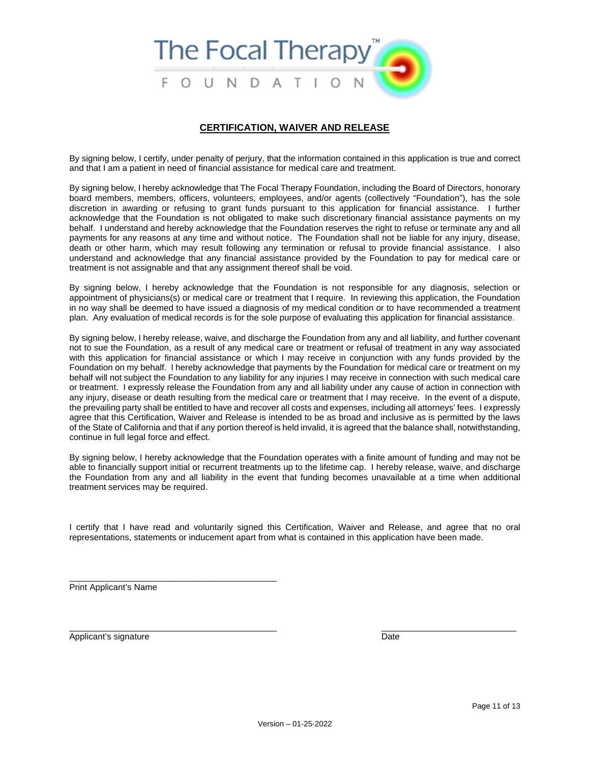

## **CERTIFICATION, WAIVER AND RELEASE**

By signing below, I certify, under penalty of perjury, that the information contained in this application is true and correct and that I am a patient in need of financial assistance for medical care and treatment.

By signing below, I hereby acknowledge that The Focal Therapy Foundation, including the Board of Directors, honorary board members, members, officers, volunteers, employees, and/or agents (collectively "Foundation"), has the sole discretion in awarding or refusing to grant funds pursuant to this application for financial assistance. I further acknowledge that the Foundation is not obligated to make such discretionary financial assistance payments on my behalf. I understand and hereby acknowledge that the Foundation reserves the right to refuse or terminate any and all payments for any reasons at any time and without notice. The Foundation shall not be liable for any injury, disease, death or other harm, which may result following any termination or refusal to provide financial assistance. I also understand and acknowledge that any financial assistance provided by the Foundation to pay for medical care or treatment is not assignable and that any assignment thereof shall be void.

By signing below, I hereby acknowledge that the Foundation is not responsible for any diagnosis, selection or appointment of physicians(s) or medical care or treatment that I require. In reviewing this application, the Foundation in no way shall be deemed to have issued a diagnosis of my medical condition or to have recommended a treatment plan. Any evaluation of medical records is for the sole purpose of evaluating this application for financial assistance.

By signing below, I hereby release, waive, and discharge the Foundation from any and all liability, and further covenant not to sue the Foundation, as a result of any medical care or treatment or refusal of treatment in any way associated with this application for financial assistance or which I may receive in conjunction with any funds provided by the Foundation on my behalf. I hereby acknowledge that payments by the Foundation for medical care or treatment on my behalf will not subject the Foundation to any liability for any injuries I may receive in connection with such medical care or treatment. I expressly release the Foundation from any and all liability under any cause of action in connection with any injury, disease or death resulting from the medical care or treatment that I may receive. In the event of a dispute, the prevailing party shall be entitled to have and recover all costs and expenses, including all attorneys' fees. I expressly agree that this Certification, Waiver and Release is intended to be as broad and inclusive as is permitted by the laws of the State of California and that if any portion thereof is held invalid, it is agreed that the balance shall, notwithstanding, continue in full legal force and effect.

By signing below, I hereby acknowledge that the Foundation operates with a finite amount of funding and may not be able to financially support initial or recurrent treatments up to the lifetime cap. I hereby release, waive, and discharge the Foundation from any and all liability in the event that funding becomes unavailable at a time when additional treatment services may be required.

I certify that I have read and voluntarily signed this Certification, Waiver and Release, and agree that no oral representations, statements or inducement apart from what is contained in this application have been made.

 $\overline{\phantom{a}}$  , and the contribution of the contribution of the contribution of the contribution of the contribution of the contribution of the contribution of the contribution of the contribution of the contribution of the

Print Applicant's Name

\_\_\_\_\_\_\_\_\_\_\_\_\_\_\_\_\_\_\_\_\_\_\_\_\_\_\_\_\_\_\_\_\_\_\_\_\_\_\_\_\_\_\_

Applicant's signature Date Date Controller and Date Date Date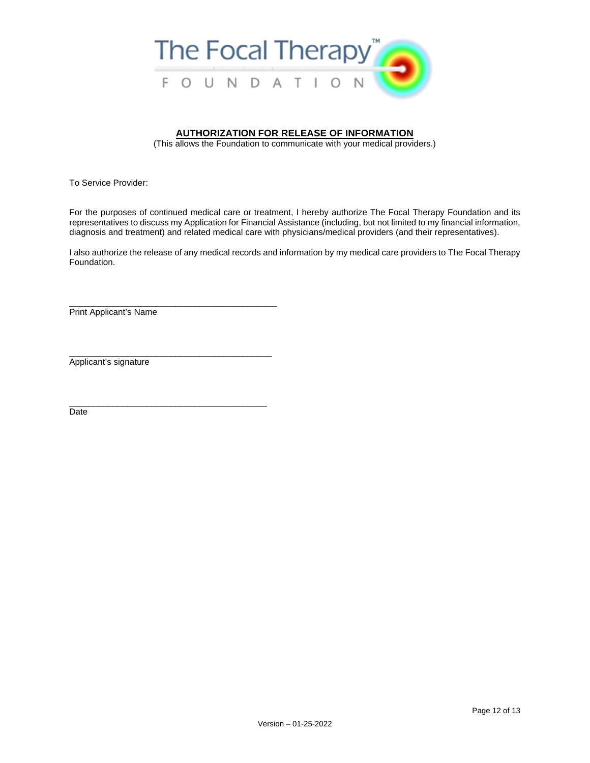

# **AUTHORIZATION FOR RELEASE OF INFORMATION**

(This allows the Foundation to communicate with your medical providers.)

To Service Provider:

For the purposes of continued medical care or treatment, I hereby authorize The Focal Therapy Foundation and its representatives to discuss my Application for Financial Assistance (including, but not limited to my financial information, diagnosis and treatment) and related medical care with physicians/medical providers (and their representatives).

I also authorize the release of any medical records and information by my medical care providers to The Focal Therapy Foundation.

\_\_\_\_\_\_\_\_\_\_\_\_\_\_\_\_\_\_\_\_\_\_\_\_\_\_\_\_\_\_\_\_\_\_\_\_\_\_\_\_\_\_\_ Print Applicant's Name

Applicant's signature

\_\_\_\_\_\_\_\_\_\_\_\_\_\_\_\_\_\_\_\_\_\_\_\_\_\_\_\_\_\_\_\_\_\_\_\_\_\_\_\_\_\_

\_\_\_\_\_\_\_\_\_\_\_\_\_\_\_\_\_\_\_\_\_\_\_\_\_\_\_\_\_\_\_\_\_\_\_\_\_\_\_\_\_

Date